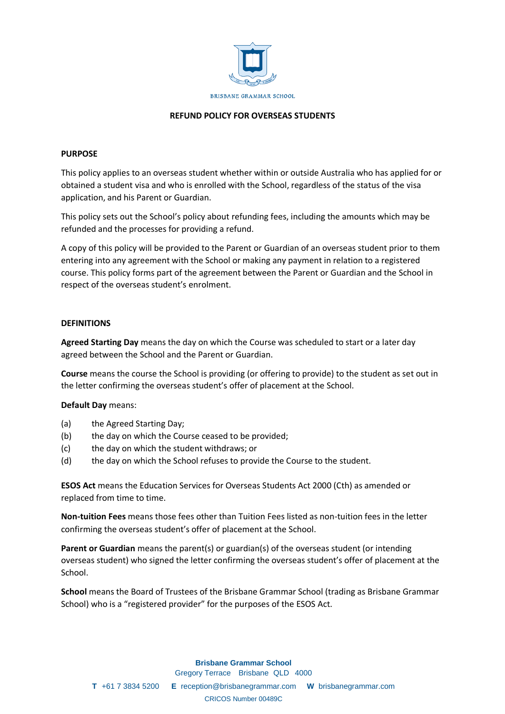

#### **REFUND POLICY FOR OVERSEAS STUDENTS**

#### **PURPOSE**

This policy applies to an overseas student whether within or outside Australia who has applied for or obtained a student visa and who is enrolled with the School, regardless of the status of the visa application, and his Parent or Guardian.

This policy sets out the School's policy about refunding fees, including the amounts which may be refunded and the processes for providing a refund.

A copy of this policy will be provided to the Parent or Guardian of an overseas student prior to them entering into any agreement with the School or making any payment in relation to a registered course. This policy forms part of the agreement between the Parent or Guardian and the School in respect of the overseas student's enrolment.

#### **DEFINITIONS**

**Agreed Starting Day** means the day on which the Course was scheduled to start or a later day agreed between the School and the Parent or Guardian.

**Course** means the course the School is providing (or offering to provide) to the student as set out in the letter confirming the overseas student's offer of placement at the School.

#### **Default Day** means:

- (a) the Agreed Starting Day;
- (b) the day on which the Course ceased to be provided;
- (c) the day on which the student withdraws; or
- (d) the day on which the School refuses to provide the Course to the student.

**ESOS Act** means the Education Services for Overseas Students Act 2000 (Cth) as amended or replaced from time to time.

**Non-tuition Fees** means those fees other than Tuition Fees listed as non-tuition fees in the letter confirming the overseas student's offer of placement at the School.

**Parent or Guardian** means the parent(s) or guardian(s) of the overseas student (or intending overseas student) who signed the letter confirming the overseas student's offer of placement at the School.

**School** means the Board of Trustees of the Brisbane Grammar School (trading as Brisbane Grammar School) who is a "registered provider" for the purposes of the ESOS Act.

#### **Brisbane Grammar School**

Gregory Terrace Brisbane QLD 4000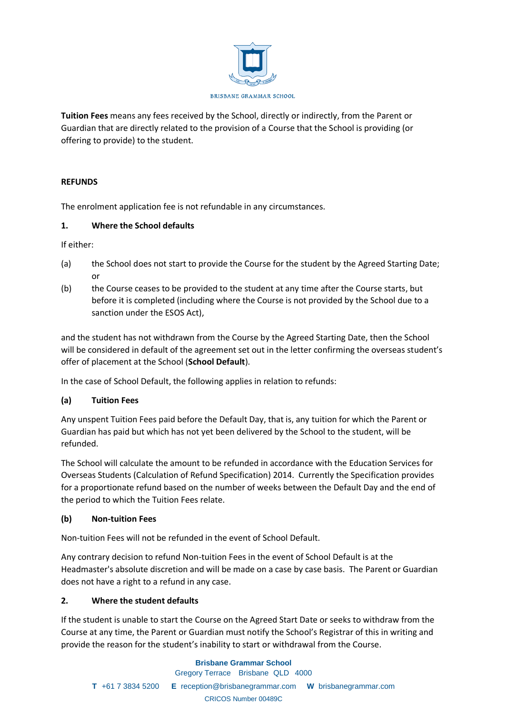

**Tuition Fees** means any fees received by the School, directly or indirectly, from the Parent or Guardian that are directly related to the provision of a Course that the School is providing (or offering to provide) to the student.

## **REFUNDS**

The enrolment application fee is not refundable in any circumstances.

### **1. Where the School defaults**

If either:

- (a) the School does not start to provide the Course for the student by the Agreed Starting Date; or
- (b) the Course ceases to be provided to the student at any time after the Course starts, but before it is completed (including where the Course is not provided by the School due to a sanction under the ESOS Act),

and the student has not withdrawn from the Course by the Agreed Starting Date, then the School will be considered in default of the agreement set out in the letter confirming the overseas student's offer of placement at the School (**School Default**).

In the case of School Default, the following applies in relation to refunds:

## **(a) Tuition Fees**

Any unspent Tuition Fees paid before the Default Day, that is, any tuition for which the Parent or Guardian has paid but which has not yet been delivered by the School to the student, will be refunded.

The School will calculate the amount to be refunded in accordance with the Education Services for Overseas Students (Calculation of Refund Specification) 2014. Currently the Specification provides for a proportionate refund based on the number of weeks between the Default Day and the end of the period to which the Tuition Fees relate.

## **(b) Non-tuition Fees**

Non-tuition Fees will not be refunded in the event of School Default.

Any contrary decision to refund Non-tuition Fees in the event of School Default is at the Headmaster's absolute discretion and will be made on a case by case basis. The Parent or Guardian does not have a right to a refund in any case.

## **2. Where the student defaults**

If the student is unable to start the Course on the Agreed Start Date or seeks to withdraw from the Course at any time, the Parent or Guardian must notify the School's Registrar of this in writing and provide the reason for the student's inability to start or withdrawal from the Course.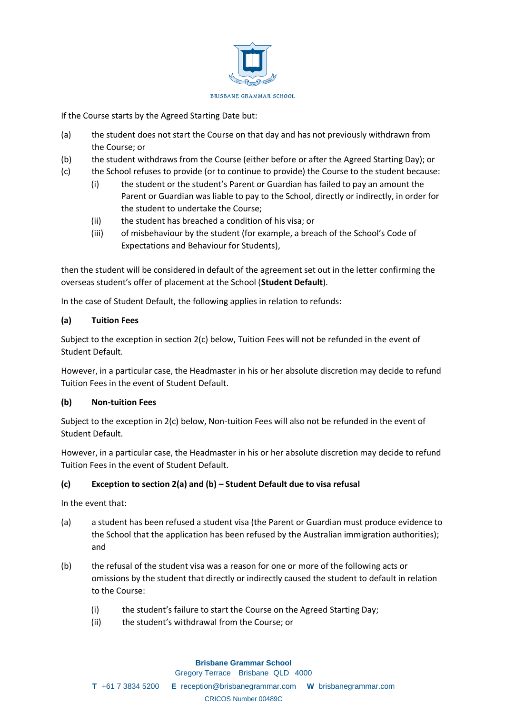

If the Course starts by the Agreed Starting Date but:

- (a) the student does not start the Course on that day and has not previously withdrawn from the Course; or
- (b) the student withdraws from the Course (either before or after the Agreed Starting Day); or
- (c) the School refuses to provide (or to continue to provide) the Course to the student because:
	- (i) the student or the student's Parent or Guardian has failed to pay an amount the Parent or Guardian was liable to pay to the School, directly or indirectly, in order for the student to undertake the Course;
	- (ii) the student has breached a condition of his visa; or
	- (iii) of misbehaviour by the student (for example, a breach of the School's Code of Expectations and Behaviour for Students),

then the student will be considered in default of the agreement set out in the letter confirming the overseas student's offer of placement at the School (**Student Default**).

In the case of Student Default, the following applies in relation to refunds:

#### **(a) Tuition Fees**

Subject to the exception in section 2(c) below, Tuition Fees will not be refunded in the event of Student Default.

However, in a particular case, the Headmaster in his or her absolute discretion may decide to refund Tuition Fees in the event of Student Default.

#### **(b) Non-tuition Fees**

Subject to the exception in 2(c) below, Non-tuition Fees will also not be refunded in the event of Student Default.

However, in a particular case, the Headmaster in his or her absolute discretion may decide to refund Tuition Fees in the event of Student Default.

## **(c) Exception to section 2(a) and (b) – Student Default due to visa refusal**

In the event that:

- (a) a student has been refused a student visa (the Parent or Guardian must produce evidence to the School that the application has been refused by the Australian immigration authorities); and
- (b) the refusal of the student visa was a reason for one or more of the following acts or omissions by the student that directly or indirectly caused the student to default in relation to the Course:
	- (i) the student's failure to start the Course on the Agreed Starting Day;
	- (ii) the student's withdrawal from the Course; or

#### **Brisbane Grammar School**

Gregory Terrace Brisbane QLD 4000

**T** +61 7 3834 5200 **E** reception@brisbanegrammar.com **W** brisbanegrammar.com

#### CRICOS Number 00489C